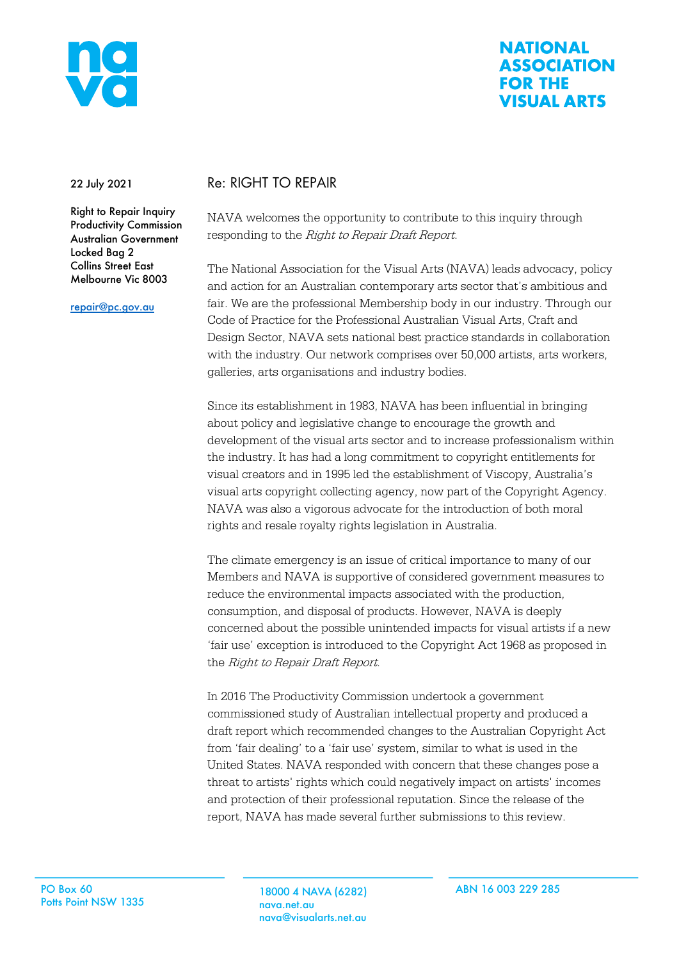

## **NATIONAL ASSOCIATION FOR THE VISUAL ARTS**

22 July 2021

Right to Repair Inquiry Productivity Commission Australian Government Locked Bag 2 Collins Street East Melbourne Vic 8003

repair@pc.gov.au

## Re: RIGHT TO REPAIR

NAVA welcomes the opportunity to contribute to this inquiry through responding to the Right to Repair Draft Report.

The National Association for the Visual Arts (NAVA) leads advocacy, policy and action for an Australian contemporary arts sector that's ambitious and fair. We are the professional Membership body in our industry. Through our Code of Practice for the Professional Australian Visual Arts, Craft and Design Sector, NAVA sets national best practice standards in collaboration with the industry. Our network comprises over 50,000 artists, arts workers, galleries, arts organisations and industry bodies.

Since its establishment in 1983, NAVA has been influential in bringing about policy and legislative change to encourage the growth and development of the visual arts sector and to increase professionalism within the industry. It has had a long commitment to copyright entitlements for visual creators and in 1995 led the establishment of Viscopy, Australia's visual arts copyright collecting agency, now part of the Copyright Agency. NAVA was also a vigorous advocate for the introduction of both moral rights and resale royalty rights legislation in Australia.

The climate emergency is an issue of critical importance to many of our Members and NAVA is supportive of considered government measures to reduce the environmental impacts associated with the production, consumption, and disposal of products. However, NAVA is deeply concerned about the possible unintended impacts for visual artists if a new 'fair use' exception is introduced to the Copyright Act 1968 as proposed in the Right to Repair Draft Report.

In 2016 The Productivity Commission undertook a government commissioned study of Australian intellectual property and produced a draft report which recommended changes to the Australian Copyright Act from 'fair dealing' to a 'fair use' system, similar to what is used in the United States. NAVA responded with concern that these changes pose a threat to artists' rights which could negatively impact on artists' incomes and protection of their professional reputation. Since the release of the report, NAVA has made several further submissions to this review.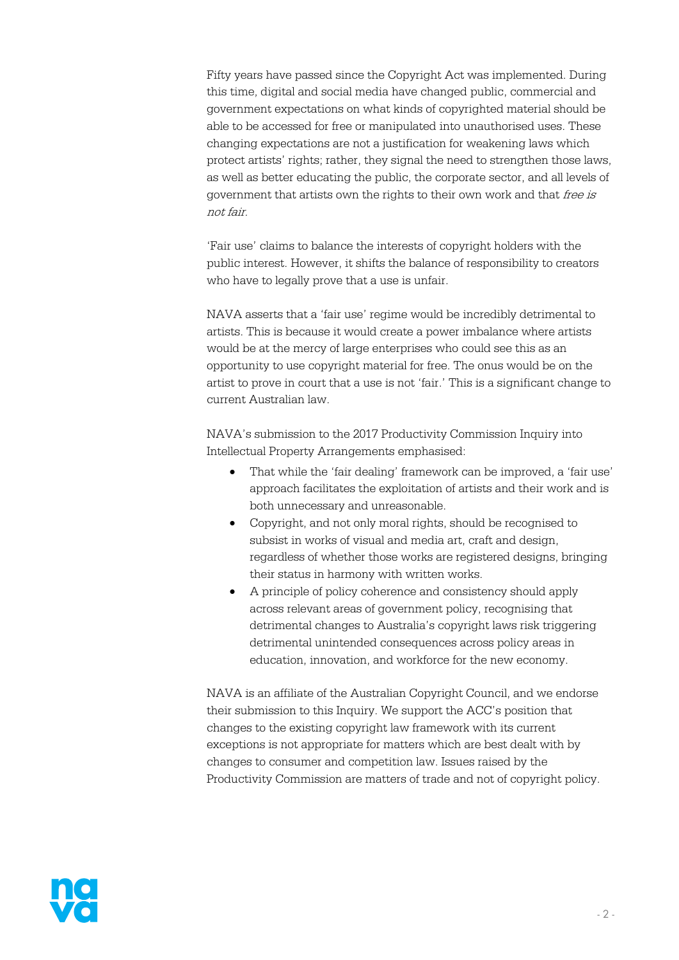Fifty years have passed since the Copyright Act was implemented. During this time, digital and social media have changed public, commercial and government expectations on what kinds of copyrighted material should be able to be accessed for free or manipulated into unauthorised uses. These changing expectations are not a justification for weakening laws which protect artists' rights; rather, they signal the need to strengthen those laws, as well as better educating the public, the corporate sector, and all levels of government that artists own the rights to their own work and that free is not fair.

'Fair use' claims to balance the interests of copyright holders with the public interest. However, it shifts the balance of responsibility to creators who have to legally prove that a use is unfair.

NAVA asserts that a 'fair use' regime would be incredibly detrimental to artists. This is because it would create a power imbalance where artists would be at the mercy of large enterprises who could see this as an opportunity to use copyright material for free. The onus would be on the artist to prove in court that a use is not 'fair.' This is a significant change to current Australian law.

NAVA's submission to the 2017 Productivity Commission Inquiry into Intellectual Property Arrangements emphasised:

- That while the 'fair dealing' framework can be improved, a 'fair use' approach facilitates the exploitation of artists and their work and is both unnecessary and unreasonable.
- Copyright, and not only moral rights, should be recognised to subsist in works of visual and media art, craft and design, regardless of whether those works are registered designs, bringing their status in harmony with written works.
- A principle of policy coherence and consistency should apply across relevant areas of government policy, recognising that detrimental changes to Australia's copyright laws risk triggering detrimental unintended consequences across policy areas in education, innovation, and workforce for the new economy.

NAVA is an affiliate of the Australian Copyright Council, and we endorse their submission to this Inquiry. We support the ACC's position that changes to the existing copyright law framework with its current exceptions is not appropriate for matters which are best dealt with by changes to consumer and competition law. Issues raised by the Productivity Commission are matters of trade and not of copyright policy.